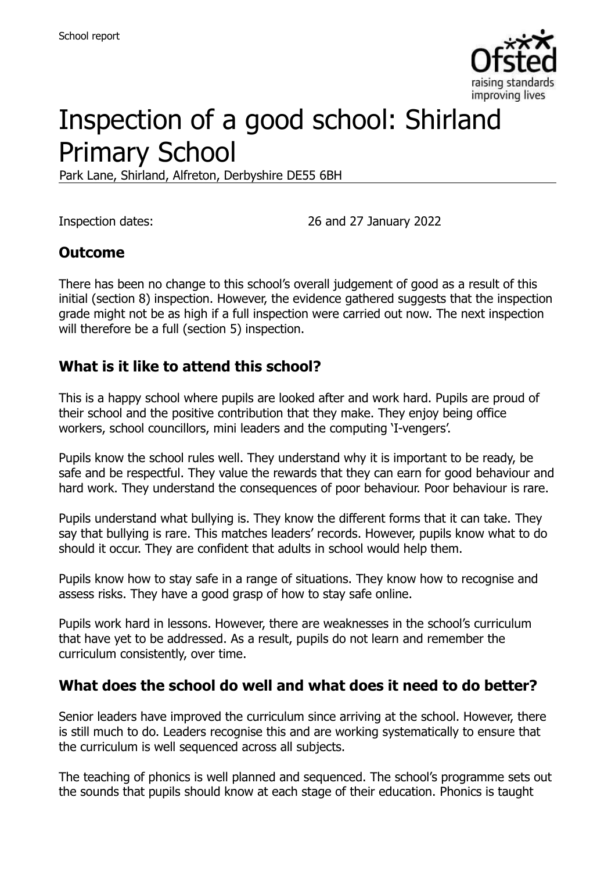

# Inspection of a good school: Shirland Primary School

Park Lane, Shirland, Alfreton, Derbyshire DE55 6BH

Inspection dates: 26 and 27 January 2022

#### **Outcome**

There has been no change to this school's overall judgement of good as a result of this initial (section 8) inspection. However, the evidence gathered suggests that the inspection grade might not be as high if a full inspection were carried out now. The next inspection will therefore be a full (section 5) inspection.

#### **What is it like to attend this school?**

This is a happy school where pupils are looked after and work hard. Pupils are proud of their school and the positive contribution that they make. They enjoy being office workers, school councillors, mini leaders and the computing 'I-vengers'.

Pupils know the school rules well. They understand why it is important to be ready, be safe and be respectful. They value the rewards that they can earn for good behaviour and hard work. They understand the consequences of poor behaviour. Poor behaviour is rare.

Pupils understand what bullying is. They know the different forms that it can take. They say that bullying is rare. This matches leaders' records. However, pupils know what to do should it occur. They are confident that adults in school would help them.

Pupils know how to stay safe in a range of situations. They know how to recognise and assess risks. They have a good grasp of how to stay safe online.

Pupils work hard in lessons. However, there are weaknesses in the school's curriculum that have yet to be addressed. As a result, pupils do not learn and remember the curriculum consistently, over time.

#### **What does the school do well and what does it need to do better?**

Senior leaders have improved the curriculum since arriving at the school. However, there is still much to do. Leaders recognise this and are working systematically to ensure that the curriculum is well sequenced across all subjects.

The teaching of phonics is well planned and sequenced. The school's programme sets out the sounds that pupils should know at each stage of their education. Phonics is taught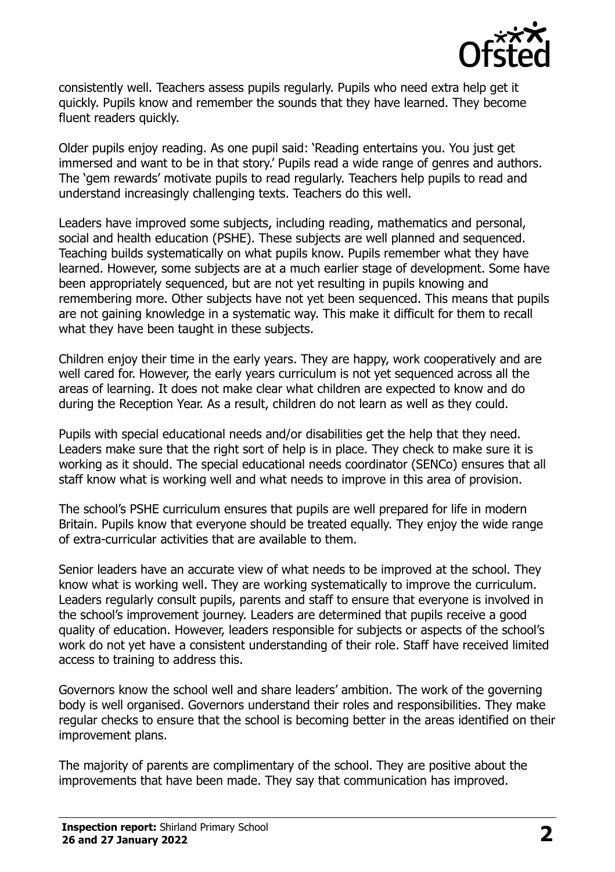

consistently well. Teachers assess pupils regularly. Pupils who need extra help get it quickly. Pupils know and remember the sounds that they have learned. They become fluent readers quickly.

Older pupils enjoy reading. As one pupil said: 'Reading entertains you. You just get immersed and want to be in that story.' Pupils read a wide range of genres and authors. The 'gem rewards' motivate pupils to read regularly. Teachers help pupils to read and understand increasingly challenging texts. Teachers do this well.

Leaders have improved some subjects, including reading, mathematics and personal, social and health education (PSHE). These subjects are well planned and sequenced. Teaching builds systematically on what pupils know. Pupils remember what they have learned. However, some subjects are at a much earlier stage of development. Some have been appropriately sequenced, but are not yet resulting in pupils knowing and remembering more. Other subjects have not yet been sequenced. This means that pupils are not gaining knowledge in a systematic way. This make it difficult for them to recall what they have been taught in these subjects.

Children enjoy their time in the early years. They are happy, work cooperatively and are well cared for. However, the early years curriculum is not yet sequenced across all the areas of learning. It does not make clear what children are expected to know and do during the Reception Year. As a result, children do not learn as well as they could.

Pupils with special educational needs and/or disabilities get the help that they need. Leaders make sure that the right sort of help is in place. They check to make sure it is working as it should. The special educational needs coordinator (SENCo) ensures that all staff know what is working well and what needs to improve in this area of provision.

The school's PSHE curriculum ensures that pupils are well prepared for life in modern Britain. Pupils know that everyone should be treated equally. They enjoy the wide range of extra-curricular activities that are available to them.

Senior leaders have an accurate view of what needs to be improved at the school. They know what is working well. They are working systematically to improve the curriculum. Leaders regularly consult pupils, parents and staff to ensure that everyone is involved in the school's improvement journey. Leaders are determined that pupils receive a good quality of education. However, leaders responsible for subjects or aspects of the school's work do not yet have a consistent understanding of their role. Staff have received limited access to training to address this.

Governors know the school well and share leaders' ambition. The work of the governing body is well organised. Governors understand their roles and responsibilities. They make regular checks to ensure that the school is becoming better in the areas identified on their improvement plans.

The majority of parents are complimentary of the school. They are positive about the improvements that have been made. They say that communication has improved.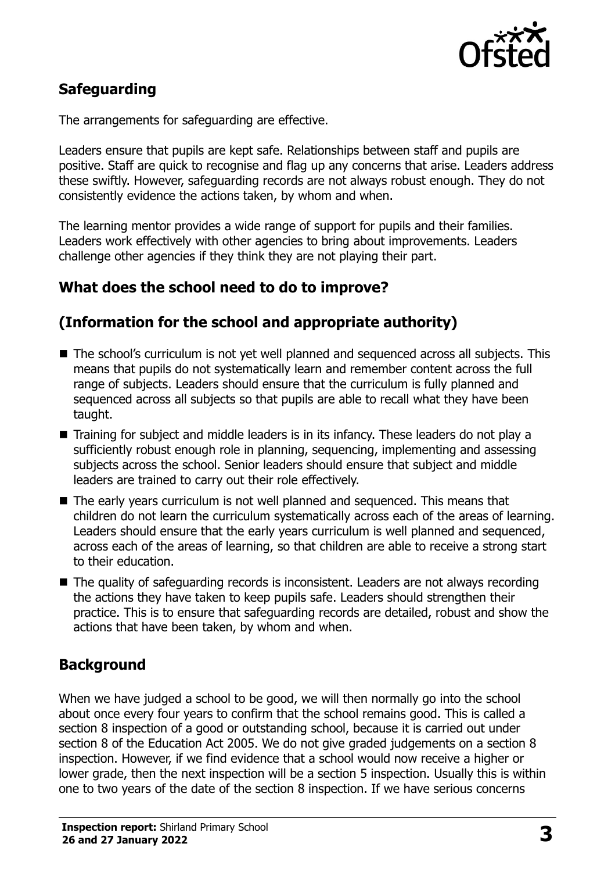

## **Safeguarding**

The arrangements for safeguarding are effective.

Leaders ensure that pupils are kept safe. Relationships between staff and pupils are positive. Staff are quick to recognise and flag up any concerns that arise. Leaders address these swiftly. However, safeguarding records are not always robust enough. They do not consistently evidence the actions taken, by whom and when.

The learning mentor provides a wide range of support for pupils and their families. Leaders work effectively with other agencies to bring about improvements. Leaders challenge other agencies if they think they are not playing their part.

## **What does the school need to do to improve?**

### **(Information for the school and appropriate authority)**

- The school's curriculum is not yet well planned and sequenced across all subjects. This means that pupils do not systematically learn and remember content across the full range of subjects. Leaders should ensure that the curriculum is fully planned and sequenced across all subjects so that pupils are able to recall what they have been taught.
- Training for subject and middle leaders is in its infancy. These leaders do not play a sufficiently robust enough role in planning, sequencing, implementing and assessing subjects across the school. Senior leaders should ensure that subject and middle leaders are trained to carry out their role effectively.
- The early years curriculum is not well planned and sequenced. This means that children do not learn the curriculum systematically across each of the areas of learning. Leaders should ensure that the early years curriculum is well planned and sequenced, across each of the areas of learning, so that children are able to receive a strong start to their education.
- The quality of safeguarding records is inconsistent. Leaders are not always recording the actions they have taken to keep pupils safe. Leaders should strengthen their practice. This is to ensure that safeguarding records are detailed, robust and show the actions that have been taken, by whom and when.

## **Background**

When we have judged a school to be good, we will then normally go into the school about once every four years to confirm that the school remains good. This is called a section 8 inspection of a good or outstanding school, because it is carried out under section 8 of the Education Act 2005. We do not give graded judgements on a section 8 inspection. However, if we find evidence that a school would now receive a higher or lower grade, then the next inspection will be a section 5 inspection. Usually this is within one to two years of the date of the section 8 inspection. If we have serious concerns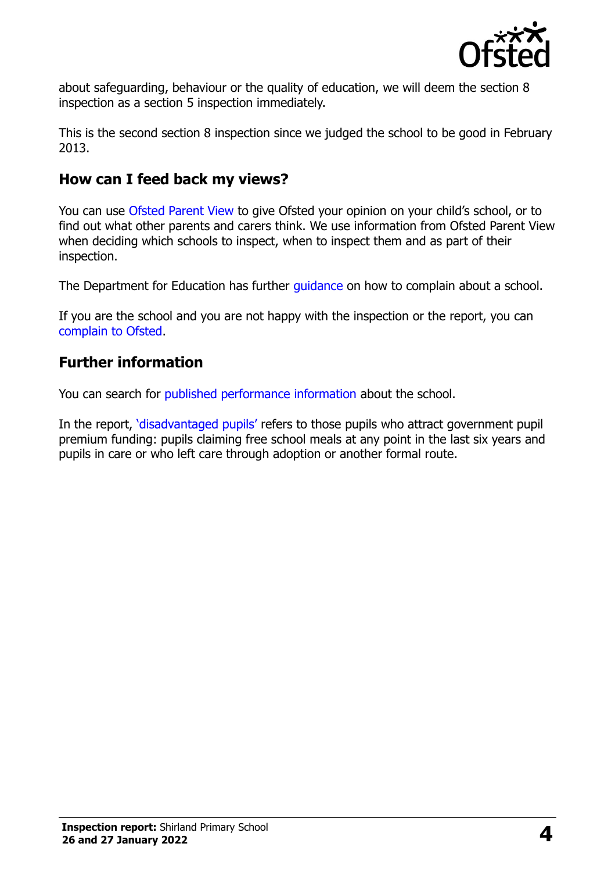

about safeguarding, behaviour or the quality of education, we will deem the section 8 inspection as a section 5 inspection immediately.

This is the second section 8 inspection since we judged the school to be good in February 2013.

#### **How can I feed back my views?**

You can use [Ofsted Parent View](https://parentview.ofsted.gov.uk/) to give Ofsted your opinion on your child's school, or to find out what other parents and carers think. We use information from Ofsted Parent View when deciding which schools to inspect, when to inspect them and as part of their inspection.

The Department for Education has further quidance on how to complain about a school.

If you are the school and you are not happy with the inspection or the report, you can [complain to Ofsted.](https://www.gov.uk/complain-ofsted-report)

### **Further information**

You can search for [published performance information](http://www.compare-school-performance.service.gov.uk/) about the school.

In the report, '[disadvantaged pupils](http://www.gov.uk/guidance/pupil-premium-information-for-schools-and-alternative-provision-settings)' refers to those pupils who attract government pupil premium funding: pupils claiming free school meals at any point in the last six years and pupils in care or who left care through adoption or another formal route.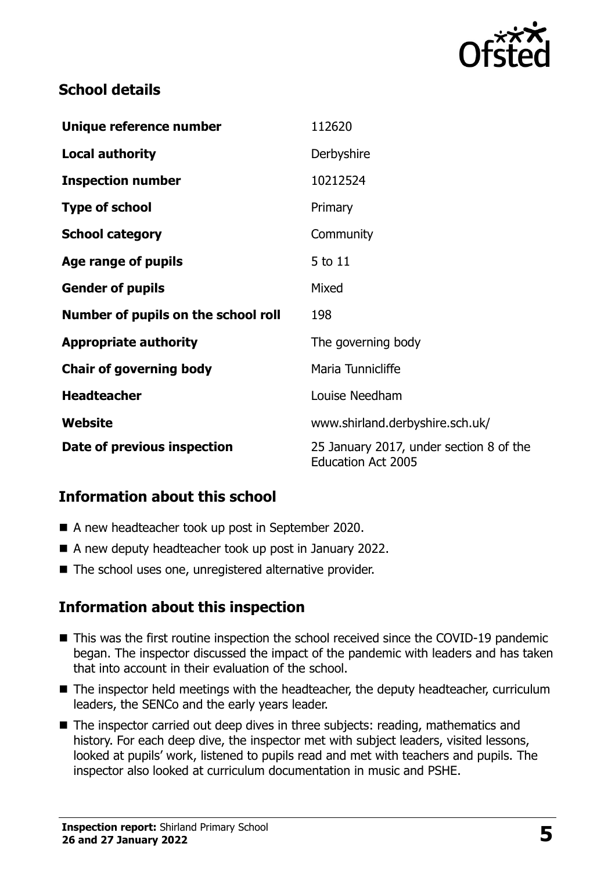

## **School details**

| Unique reference number             | 112620                                                               |
|-------------------------------------|----------------------------------------------------------------------|
| <b>Local authority</b>              | Derbyshire                                                           |
| <b>Inspection number</b>            | 10212524                                                             |
| <b>Type of school</b>               | Primary                                                              |
| <b>School category</b>              | Community                                                            |
| Age range of pupils                 | 5 to 11                                                              |
| <b>Gender of pupils</b>             | Mixed                                                                |
| Number of pupils on the school roll | 198                                                                  |
| <b>Appropriate authority</b>        | The governing body                                                   |
| <b>Chair of governing body</b>      | Maria Tunnicliffe                                                    |
| <b>Headteacher</b>                  | Louise Needham                                                       |
| Website                             | www.shirland.derbyshire.sch.uk/                                      |
| Date of previous inspection         | 25 January 2017, under section 8 of the<br><b>Education Act 2005</b> |

## **Information about this school**

- A new headteacher took up post in September 2020.
- A new deputy headteacher took up post in January 2022.
- The school uses one, unregistered alternative provider.

#### **Information about this inspection**

- This was the first routine inspection the school received since the COVID-19 pandemic began. The inspector discussed the impact of the pandemic with leaders and has taken that into account in their evaluation of the school.
- The inspector held meetings with the headteacher, the deputy headteacher, curriculum leaders, the SENCo and the early years leader.
- The inspector carried out deep dives in three subjects: reading, mathematics and history. For each deep dive, the inspector met with subject leaders, visited lessons, looked at pupils' work, listened to pupils read and met with teachers and pupils. The inspector also looked at curriculum documentation in music and PSHE.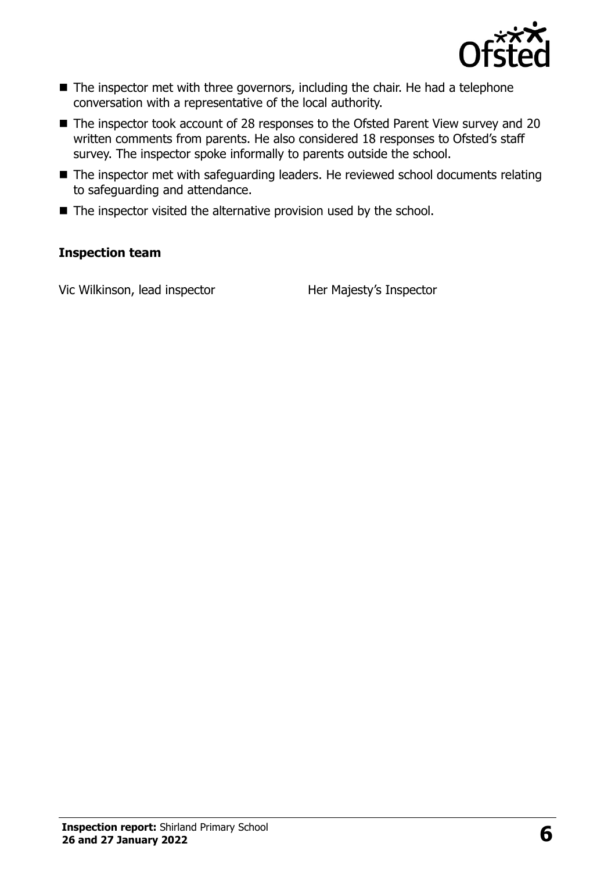

- The inspector met with three governors, including the chair. He had a telephone conversation with a representative of the local authority.
- The inspector took account of 28 responses to the Ofsted Parent View survey and 20 written comments from parents. He also considered 18 responses to Ofsted's staff survey. The inspector spoke informally to parents outside the school.
- The inspector met with safeguarding leaders. He reviewed school documents relating to safeguarding and attendance.
- $\blacksquare$  The inspector visited the alternative provision used by the school.

#### **Inspection team**

Vic Wilkinson, lead inspector **Her Majesty's Inspector**